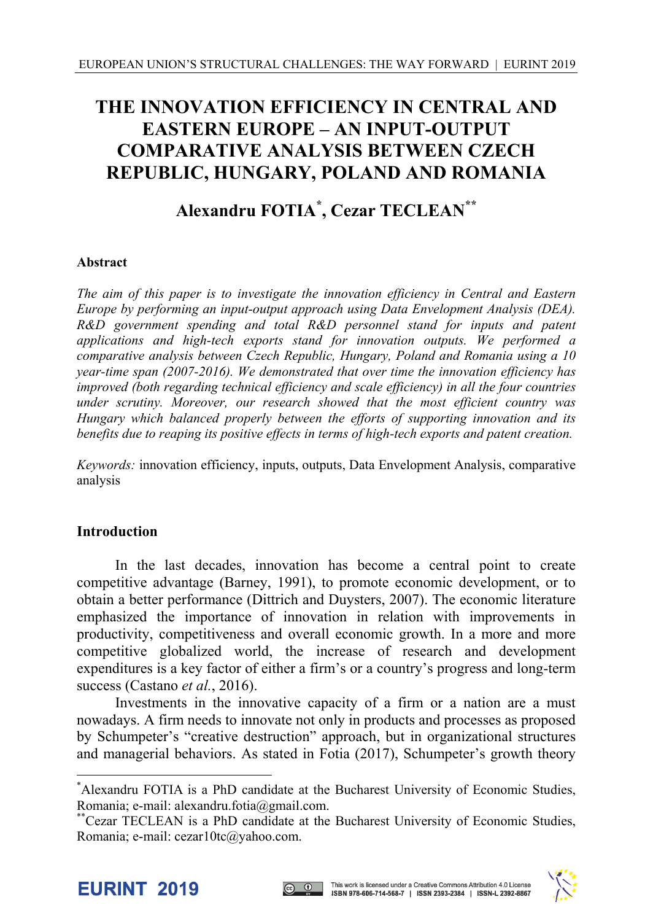## **THE INNOVATION EFFICIENCY IN CENTRAL AND EASTERN EUROPE – AN INPUT-OUTPUT COMPARATIVE ANALYSIS BETWEEN CZECH REPUBLIC, HUNGARY, POLAND AND ROMANIA**

# **Alexandru FOTIA\* , Cezar TECLEAN\*\***

### **Abstract**

*The aim of this paper is to investigate the innovation efficiency in Central and Eastern Europe by performing an input-output approach using Data Envelopment Analysis (DEA). R&D government spending and total R&D personnel stand for inputs and patent applications and high-tech exports stand for innovation outputs. We performed a comparative analysis between Czech Republic, Hungary, Poland and Romania using a 10 year-time span (2007-2016). We demonstrated that over time the innovation efficiency has improved (both regarding technical efficiency and scale efficiency) in all the four countries under scrutiny. Moreover, our research showed that the most efficient country was Hungary which balanced properly between the efforts of supporting innovation and its benefits due to reaping its positive effects in terms of high-tech exports and patent creation.* 

*Keywords:* innovation efficiency, inputs, outputs, Data Envelopment Analysis, comparative analysis

## **Introduction**

In the last decades, innovation has become a central point to create competitive advantage (Barney, 1991), to promote economic development, or to obtain a better performance (Dittrich and Duysters, 2007). The economic literature emphasized the importance of innovation in relation with improvements in productivity, competitiveness and overall economic growth. In a more and more competitive globalized world, the increase of research and development expenditures is a key factor of either a firm's or a country's progress and long-term success (Castano *et al.*, 2016).

Investments in the innovative capacity of a firm or a nation are a must nowadays. A firm needs to innovate not only in products and processes as proposed by Schumpeter's "creative destruction" approach, but in organizational structures and managerial behaviors. As stated in Fotia (2017), Schumpeter's growth theory

l





<sup>\*</sup> Alexandru FOTIA is a PhD candidate at the Bucharest University of Economic Studies, Romania; e-mail: alexandru.fotia@gmail.com.

<sup>\*\*</sup>Cezar TECLEAN is a PhD candidate at the Bucharest University of Economic Studies, Romania; e-mail: cezar10tc@yahoo.com.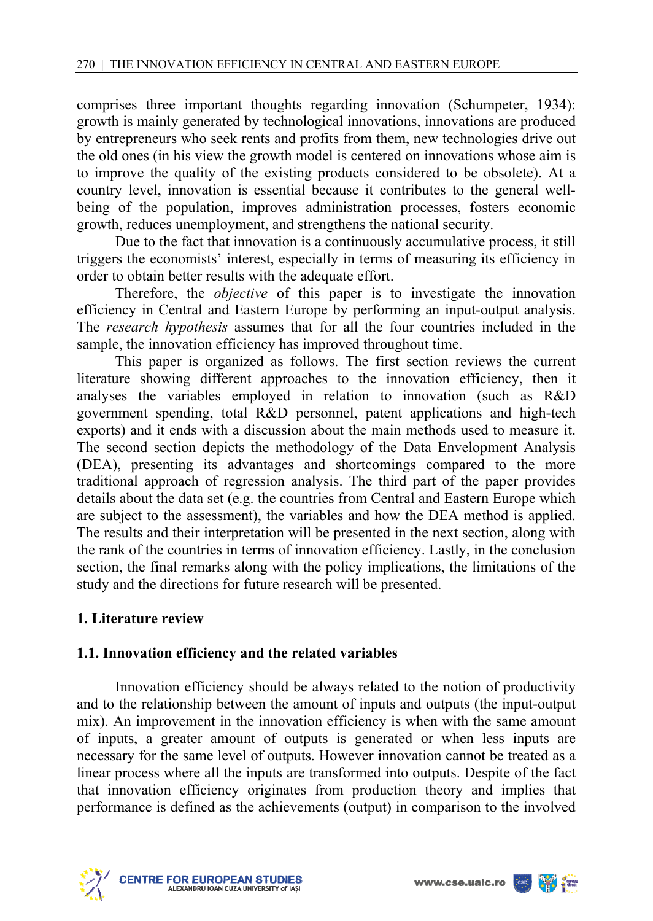comprises three important thoughts regarding innovation (Schumpeter, 1934): growth is mainly generated by technological innovations, innovations are produced by entrepreneurs who seek rents and profits from them, new technologies drive out the old ones (in his view the growth model is centered on innovations whose aim is to improve the quality of the existing products considered to be obsolete). At a country level, innovation is essential because it contributes to the general wellbeing of the population, improves administration processes, fosters economic growth, reduces unemployment, and strengthens the national security.

Due to the fact that innovation is a continuously accumulative process, it still triggers the economists' interest, especially in terms of measuring its efficiency in order to obtain better results with the adequate effort.

Therefore, the *objective* of this paper is to investigate the innovation efficiency in Central and Eastern Europe by performing an input-output analysis. The *research hypothesis* assumes that for all the four countries included in the sample, the innovation efficiency has improved throughout time.

This paper is organized as follows. The first section reviews the current literature showing different approaches to the innovation efficiency, then it analyses the variables employed in relation to innovation (such as R&D government spending, total R&D personnel, patent applications and high-tech exports) and it ends with a discussion about the main methods used to measure it. The second section depicts the methodology of the Data Envelopment Analysis (DEA), presenting its advantages and shortcomings compared to the more traditional approach of regression analysis. The third part of the paper provides details about the data set (e.g. the countries from Central and Eastern Europe which are subject to the assessment), the variables and how the DEA method is applied. The results and their interpretation will be presented in the next section, along with the rank of the countries in terms of innovation efficiency. Lastly, in the conclusion section, the final remarks along with the policy implications, the limitations of the study and the directions for future research will be presented.

## **1. Literature review**

## **1.1. Innovation efficiency and the related variables**

Innovation efficiency should be always related to the notion of productivity and to the relationship between the amount of inputs and outputs (the input-output mix). An improvement in the innovation efficiency is when with the same amount of inputs, a greater amount of outputs is generated or when less inputs are necessary for the same level of outputs. However innovation cannot be treated as a linear process where all the inputs are transformed into outputs. Despite of the fact that innovation efficiency originates from production theory and implies that performance is defined as the achievements (output) in comparison to the involved



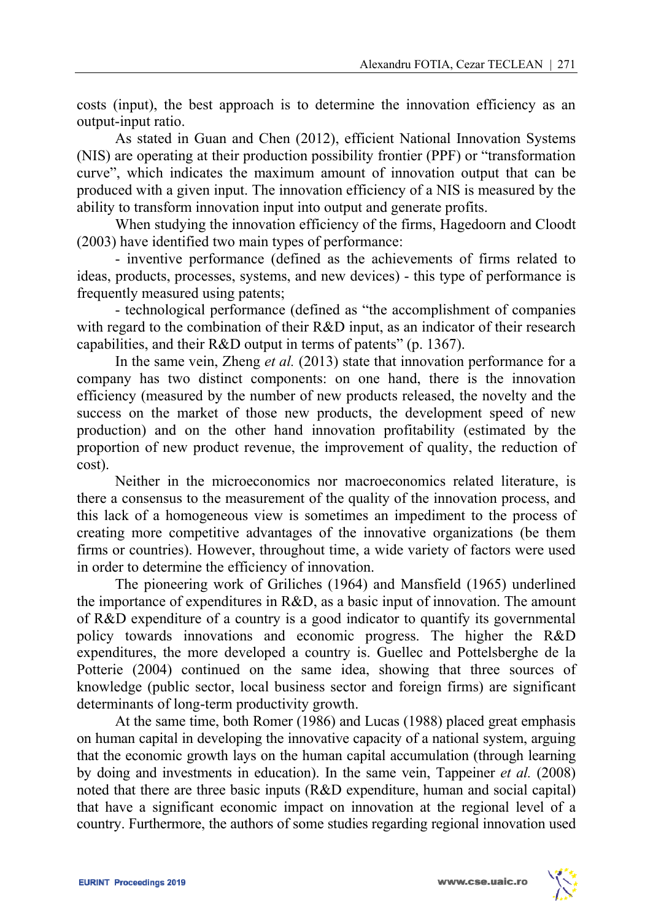costs (input), the best approach is to determine the innovation efficiency as an output-input ratio.

As stated in Guan and Chen (2012), efficient National Innovation Systems (NIS) are operating at their production possibility frontier (PPF) or "transformation curve", which indicates the maximum amount of innovation output that can be produced with a given input. The innovation efficiency of a NIS is measured by the ability to transform innovation input into output and generate profits.

When studying the innovation efficiency of the firms, Hagedoorn and Cloodt (2003) have identified two main types of performance:

- inventive performance (defined as the achievements of firms related to ideas, products, processes, systems, and new devices) - this type of performance is frequently measured using patents;

- technological performance (defined as "the accomplishment of companies with regard to the combination of their R&D input, as an indicator of their research capabilities, and their R&D output in terms of patents" (p. 1367).

In the same vein, Zheng *et al.* (2013) state that innovation performance for a company has two distinct components: on one hand, there is the innovation efficiency (measured by the number of new products released, the novelty and the success on the market of those new products, the development speed of new production) and on the other hand innovation profitability (estimated by the proportion of new product revenue, the improvement of quality, the reduction of cost).

Neither in the microeconomics nor macroeconomics related literature, is there a consensus to the measurement of the quality of the innovation process, and this lack of a homogeneous view is sometimes an impediment to the process of creating more competitive advantages of the innovative organizations (be them firms or countries). However, throughout time, a wide variety of factors were used in order to determine the efficiency of innovation.

The pioneering work of Griliches (1964) and Mansfield (1965) underlined the importance of expenditures in R&D, as a basic input of innovation. The amount of R&D expenditure of a country is a good indicator to quantify its governmental policy towards innovations and economic progress. The higher the R&D expenditures, the more developed a country is. Guellec and Pottelsberghe de la Potterie (2004) continued on the same idea, showing that three sources of knowledge (public sector, local business sector and foreign firms) are significant determinants of long-term productivity growth.

At the same time, both Romer (1986) and Lucas (1988) placed great emphasis on human capital in developing the innovative capacity of a national system, arguing that the economic growth lays on the human capital accumulation (through learning by doing and investments in education). In the same vein, Tappeiner *et al.* (2008) noted that there are three basic inputs (R&D expenditure, human and social capital) that have a significant economic impact on innovation at the regional level of a country. Furthermore, the authors of some studies regarding regional innovation used

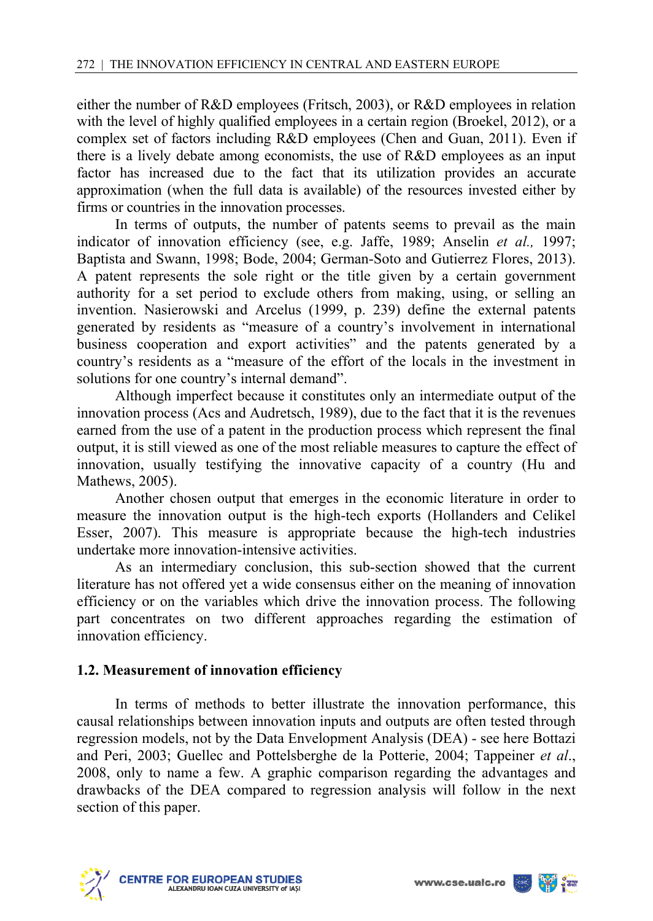either the number of R&D employees (Fritsch, 2003), or R&D employees in relation with the level of highly qualified employees in a certain region (Broekel, 2012), or a complex set of factors including R&D employees (Chen and Guan, 2011). Even if there is a lively debate among economists, the use of R&D employees as an input factor has increased due to the fact that its utilization provides an accurate approximation (when the full data is available) of the resources invested either by firms or countries in the innovation processes.

In terms of outputs, the number of patents seems to prevail as the main indicator of innovation efficiency (see, e.g. Jaffe, 1989; Anselin *et al.,* 1997; Baptista and Swann, 1998; Bode, 2004; German-Soto and Gutierrez Flores, 2013). A patent represents the sole right or the title given by a certain government authority for a set period to exclude others from making, using, or selling an invention. Nasierowski and Arcelus (1999, p. 239) define the external patents generated by residents as "measure of a country's involvement in international business cooperation and export activities" and the patents generated by a country's residents as a "measure of the effort of the locals in the investment in solutions for one country's internal demand".

Although imperfect because it constitutes only an intermediate output of the innovation process (Acs and Audretsch, 1989), due to the fact that it is the revenues earned from the use of a patent in the production process which represent the final output, it is still viewed as one of the most reliable measures to capture the effect of innovation, usually testifying the innovative capacity of a country (Hu and Mathews, 2005).

Another chosen output that emerges in the economic literature in order to measure the innovation output is the high-tech exports (Hollanders and Celikel Esser, 2007). This measure is appropriate because the high-tech industries undertake more innovation-intensive activities.

As an intermediary conclusion, this sub-section showed that the current literature has not offered yet a wide consensus either on the meaning of innovation efficiency or on the variables which drive the innovation process. The following part concentrates on two different approaches regarding the estimation of innovation efficiency.

## **1.2. Measurement of innovation efficiency**

In terms of methods to better illustrate the innovation performance, this causal relationships between innovation inputs and outputs are often tested through regression models, not by the Data Envelopment Analysis (DEA) - see here Bottazi and Peri, 2003; Guellec and Pottelsberghe de la Potterie, 2004; Tappeiner *et al*., 2008, only to name a few. A graphic comparison regarding the advantages and drawbacks of the DEA compared to regression analysis will follow in the next section of this paper.



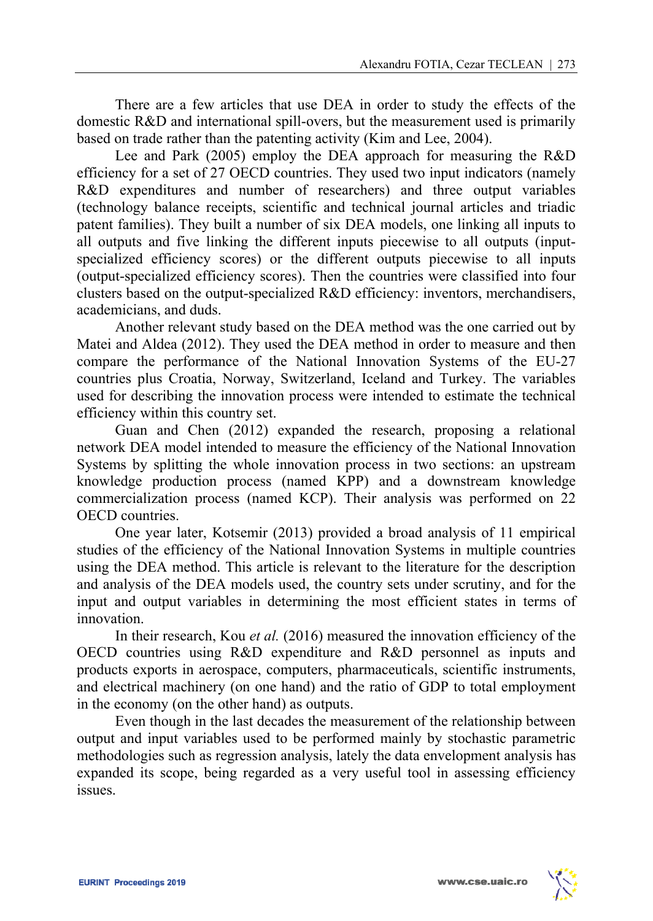There are a few articles that use DEA in order to study the effects of the domestic R&D and international spill-overs, but the measurement used is primarily based on trade rather than the patenting activity (Kim and Lee, 2004).

Lee and Park (2005) employ the DEA approach for measuring the R&D efficiency for a set of 27 OECD countries. They used two input indicators (namely R&D expenditures and number of researchers) and three output variables (technology balance receipts, scientific and technical journal articles and triadic patent families). They built a number of six DEA models, one linking all inputs to all outputs and five linking the different inputs piecewise to all outputs (inputspecialized efficiency scores) or the different outputs piecewise to all inputs (output-specialized efficiency scores). Then the countries were classified into four clusters based on the output-specialized R&D efficiency: inventors, merchandisers, academicians, and duds.

Another relevant study based on the DEA method was the one carried out by Matei and Aldea (2012). They used the DEA method in order to measure and then compare the performance of the National Innovation Systems of the EU-27 countries plus Croatia, Norway, Switzerland, Iceland and Turkey. The variables used for describing the innovation process were intended to estimate the technical efficiency within this country set.

Guan and Chen (2012) expanded the research, proposing a relational network DEA model intended to measure the efficiency of the National Innovation Systems by splitting the whole innovation process in two sections: an upstream knowledge production process (named KPP) and a downstream knowledge commercialization process (named KCP). Their analysis was performed on 22 OECD countries.

One year later, Kotsemir (2013) provided a broad analysis of 11 empirical studies of the efficiency of the National Innovation Systems in multiple countries using the DEA method. This article is relevant to the literature for the description and analysis of the DEA models used, the country sets under scrutiny, and for the input and output variables in determining the most efficient states in terms of innovation.

In their research, Kou *et al.* (2016) measured the innovation efficiency of the OECD countries using R&D expenditure and R&D personnel as inputs and products exports in aerospace, computers, pharmaceuticals, scientific instruments, and electrical machinery (on one hand) and the ratio of GDP to total employment in the economy (on the other hand) as outputs.

Even though in the last decades the measurement of the relationship between output and input variables used to be performed mainly by stochastic parametric methodologies such as regression analysis, lately the data envelopment analysis has expanded its scope, being regarded as a very useful tool in assessing efficiency issues.

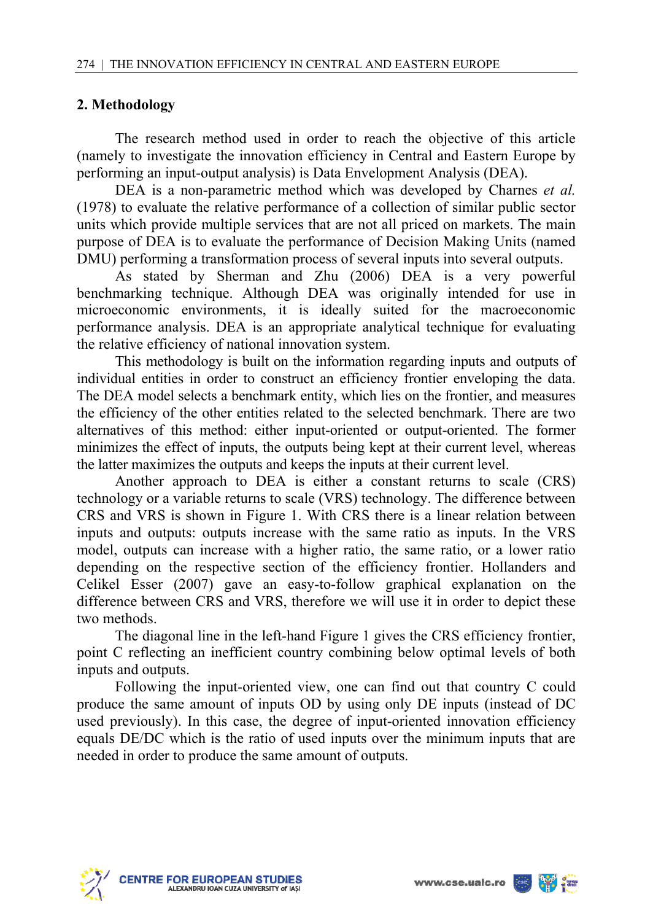### **2. Methodology**

The research method used in order to reach the objective of this article (namely to investigate the innovation efficiency in Central and Eastern Europe by performing an input-output analysis) is Data Envelopment Analysis (DEA).

DEA is a non-parametric method which was developed by Charnes *et al.* (1978) to evaluate the relative performance of a collection of similar public sector units which provide multiple services that are not all priced on markets. The main purpose of DEA is to evaluate the performance of Decision Making Units (named DMU) performing a transformation process of several inputs into several outputs.

As stated by Sherman and Zhu (2006) DEA is a very powerful benchmarking technique. Although DEA was originally intended for use in microeconomic environments, it is ideally suited for the macroeconomic performance analysis. DEA is an appropriate analytical technique for evaluating the relative efficiency of national innovation system.

This methodology is built on the information regarding inputs and outputs of individual entities in order to construct an efficiency frontier enveloping the data. The DEA model selects a benchmark entity, which lies on the frontier, and measures the efficiency of the other entities related to the selected benchmark. There are two alternatives of this method: either input-oriented or output-oriented. The former minimizes the effect of inputs, the outputs being kept at their current level, whereas the latter maximizes the outputs and keeps the inputs at their current level.

Another approach to DEA is either a constant returns to scale (CRS) technology or a variable returns to scale (VRS) technology. The difference between CRS and VRS is shown in Figure 1. With CRS there is a linear relation between inputs and outputs: outputs increase with the same ratio as inputs. In the VRS model, outputs can increase with a higher ratio, the same ratio, or a lower ratio depending on the respective section of the efficiency frontier. Hollanders and Celikel Esser (2007) gave an easy-to-follow graphical explanation on the difference between CRS and VRS, therefore we will use it in order to depict these two methods.

The diagonal line in the left-hand Figure 1 gives the CRS efficiency frontier, point C reflecting an inefficient country combining below optimal levels of both inputs and outputs.

Following the input-oriented view, one can find out that country C could produce the same amount of inputs OD by using only DE inputs (instead of DC used previously). In this case, the degree of input-oriented innovation efficiency equals DE/DC which is the ratio of used inputs over the minimum inputs that are needed in order to produce the same amount of outputs.



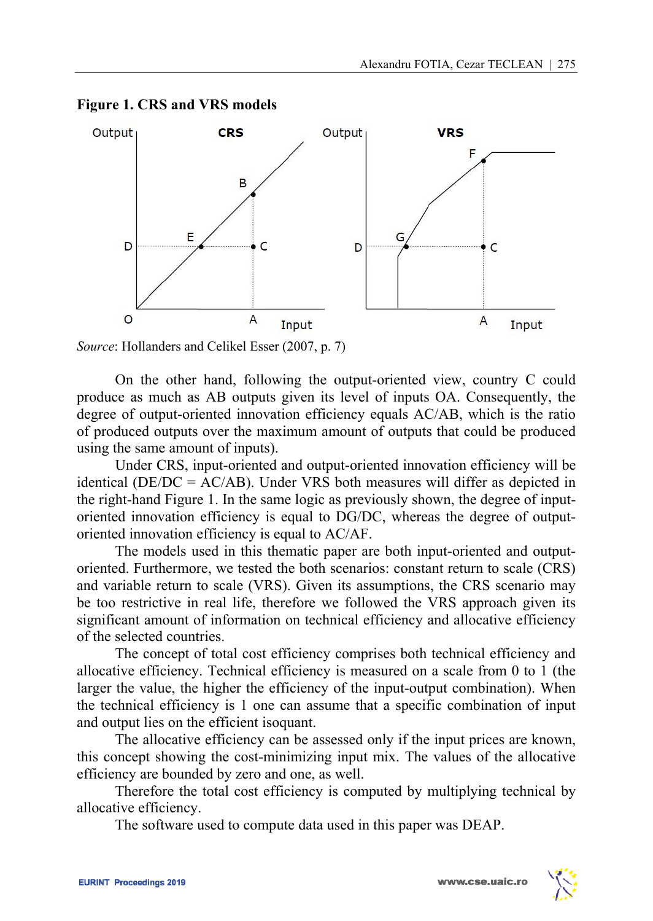

**Figure 1. CRS and VRS models** 

*Source*: Hollanders and Celikel Esser (2007, p. 7)

On the other hand, following the output-oriented view, country C could produce as much as AB outputs given its level of inputs OA. Consequently, the degree of output-oriented innovation efficiency equals AC/AB, which is the ratio of produced outputs over the maximum amount of outputs that could be produced using the same amount of inputs).

Under CRS, input-oriented and output-oriented innovation efficiency will be identical (DE/DC = AC/AB). Under VRS both measures will differ as depicted in the right-hand Figure 1. In the same logic as previously shown, the degree of inputoriented innovation efficiency is equal to DG/DC, whereas the degree of outputoriented innovation efficiency is equal to AC/AF.

The models used in this thematic paper are both input-oriented and outputoriented. Furthermore, we tested the both scenarios: constant return to scale (CRS) and variable return to scale (VRS). Given its assumptions, the CRS scenario may be too restrictive in real life, therefore we followed the VRS approach given its significant amount of information on technical efficiency and allocative efficiency of the selected countries.

The concept of total cost efficiency comprises both technical efficiency and allocative efficiency. Technical efficiency is measured on a scale from 0 to 1 (the larger the value, the higher the efficiency of the input-output combination). When the technical efficiency is 1 one can assume that a specific combination of input and output lies on the efficient isoquant.

The allocative efficiency can be assessed only if the input prices are known, this concept showing the cost-minimizing input mix. The values of the allocative efficiency are bounded by zero and one, as well.

Therefore the total cost efficiency is computed by multiplying technical by allocative efficiency.

The software used to compute data used in this paper was DEAP.

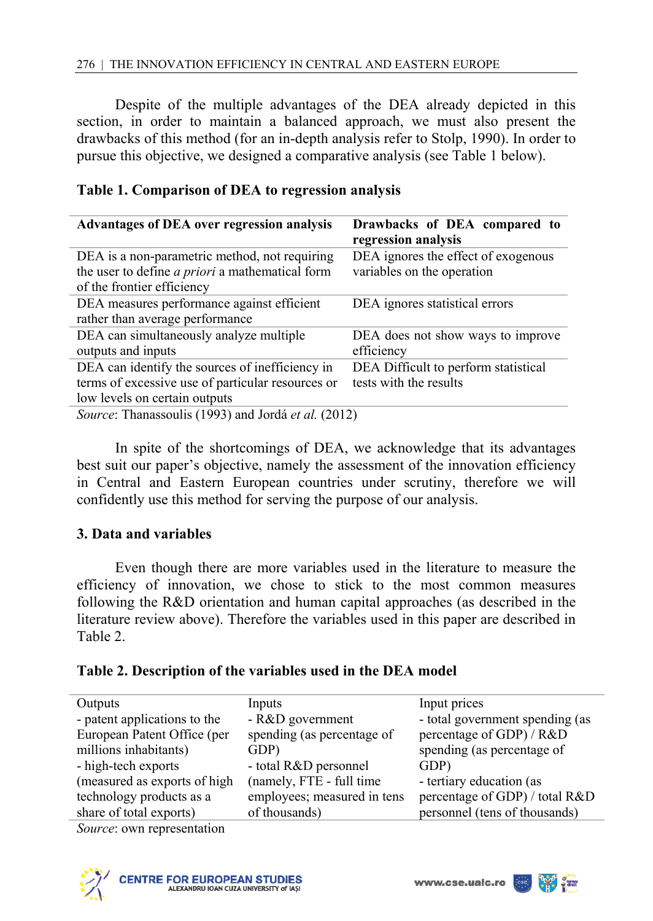Despite of the multiple advantages of the DEA already depicted in this section, in order to maintain a balanced approach, we must also present the drawbacks of this method (for an in-depth analysis refer to Stolp, 1990). In order to pursue this objective, we designed a comparative analysis (see Table 1 below).

| <b>Advantages of DEA over regression analysis</b>      | Drawbacks of DEA compared to<br>regression analysis |
|--------------------------------------------------------|-----------------------------------------------------|
| DEA is a non-parametric method, not requiring          | DEA ignores the effect of exogenous                 |
| the user to define <i>a priori</i> a mathematical form | variables on the operation                          |
| of the frontier efficiency                             |                                                     |
| DEA measures performance against efficient             | DEA ignores statistical errors                      |
| rather than average performance                        |                                                     |
| DEA can simultaneously analyze multiple                | DEA does not show ways to improve                   |
| outputs and inputs                                     | efficiency                                          |
| DEA can identify the sources of inefficiency in        | DEA Difficult to perform statistical                |
| terms of excessive use of particular resources or      | tests with the results                              |
| low levels on certain outputs                          |                                                     |
| Source: Thanassoulis (1993) and Jordá et al. (2012)    |                                                     |

#### **Table 1. Comparison of DEA to regression analysis**

In spite of the shortcomings of DEA, we acknowledge that its advantages best suit our paper's objective, namely the assessment of the innovation efficiency in Central and Eastern European countries under scrutiny, therefore we will confidently use this method for serving the purpose of our analysis.

## **3. Data and variables**

Even though there are more variables used in the literature to measure the efficiency of innovation, we chose to stick to the most common measures following the R&D orientation and human capital approaches (as described in the literature review above). Therefore the variables used in this paper are described in Table 2.

### **Table 2. Description of the variables used in the DEA model**

| Outputs                      | Inputs                      | Input prices                    |
|------------------------------|-----------------------------|---------------------------------|
| - patent applications to the | - R&D government            | - total government spending (as |
| European Patent Office (per  | spending (as percentage of  | percentage of GDP) / R&D        |
| millions inhabitants)        | GDP)                        | spending (as percentage of      |
| - high-tech exports          | - total R&D personnel       | GDP)                            |
| (measured as exports of high | (namely, FTE - full time    | - tertiary education (as        |
| technology products as a     | employees; measured in tens | percentage of GDP) / total R&D  |
| share of total exports)      | of thousands)               | personnel (tens of thousands)   |

*Source*: own representation



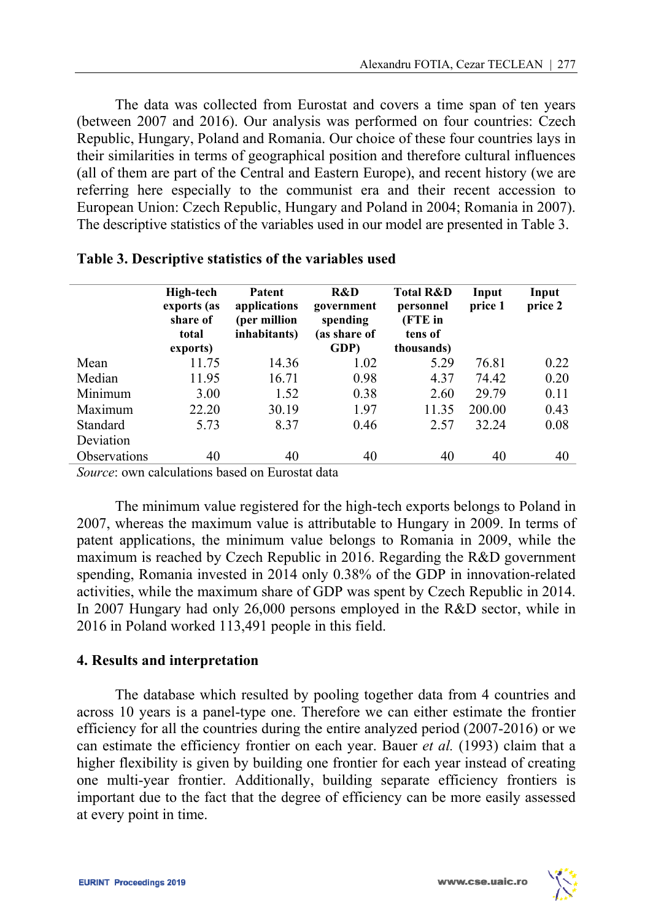The data was collected from Eurostat and covers a time span of ten years (between 2007 and 2016). Our analysis was performed on four countries: Czech Republic, Hungary, Poland and Romania. Our choice of these four countries lays in their similarities in terms of geographical position and therefore cultural influences (all of them are part of the Central and Eastern Europe), and recent history (we are referring here especially to the communist era and their recent accession to European Union: Czech Republic, Hungary and Poland in 2004; Romania in 2007). The descriptive statistics of the variables used in our model are presented in Table 3.

|                     | <b>High-tech</b><br>exports (as<br>share of<br>total<br>exports) | Patent<br>applications<br>(per million<br>inhabitants) | R&D<br>government<br>spending<br>(as share of<br>GDP) | <b>Total R&amp;D</b><br>personnel<br>(FTE in<br>tens of<br>thousands) | Input<br>price 1 | Input<br>price 2 |
|---------------------|------------------------------------------------------------------|--------------------------------------------------------|-------------------------------------------------------|-----------------------------------------------------------------------|------------------|------------------|
| Mean                | 11.75                                                            | 14.36                                                  | 1.02                                                  | 5.29                                                                  | 76.81            | 0.22             |
| Median              | 11.95                                                            | 16.71                                                  | 0.98                                                  | 4.37                                                                  | 74.42            | 0.20             |
| Minimum             | 3.00                                                             | 1.52                                                   | 0.38                                                  | 2.60                                                                  | 29.79            | 0.11             |
| Maximum             | 22.20                                                            | 30.19                                                  | 1.97                                                  | 11.35                                                                 | 200.00           | 0.43             |
| Standard            | 5.73                                                             | 8.37                                                   | 0.46                                                  | 2.57                                                                  | 32.24            | 0.08             |
| Deviation           |                                                                  |                                                        |                                                       |                                                                       |                  |                  |
| <b>Observations</b> | 40                                                               | 40                                                     | 40                                                    | 40                                                                    | 40               | 40               |

| Table 3. Descriptive statistics of the variables used |  |  |  |  |  |  |
|-------------------------------------------------------|--|--|--|--|--|--|
|-------------------------------------------------------|--|--|--|--|--|--|

*Source*: own calculations based on Eurostat data

The minimum value registered for the high-tech exports belongs to Poland in 2007, whereas the maximum value is attributable to Hungary in 2009. In terms of patent applications, the minimum value belongs to Romania in 2009, while the maximum is reached by Czech Republic in 2016. Regarding the R&D government spending, Romania invested in 2014 only 0.38% of the GDP in innovation-related activities, while the maximum share of GDP was spent by Czech Republic in 2014. In 2007 Hungary had only 26,000 persons employed in the R&D sector, while in 2016 in Poland worked 113,491 people in this field.

### **4. Results and interpretation**

The database which resulted by pooling together data from 4 countries and across 10 years is a panel-type one. Therefore we can either estimate the frontier efficiency for all the countries during the entire analyzed period (2007-2016) or we can estimate the efficiency frontier on each year. Bauer *et al.* (1993) claim that a higher flexibility is given by building one frontier for each year instead of creating one multi-year frontier. Additionally, building separate efficiency frontiers is important due to the fact that the degree of efficiency can be more easily assessed at every point in time.

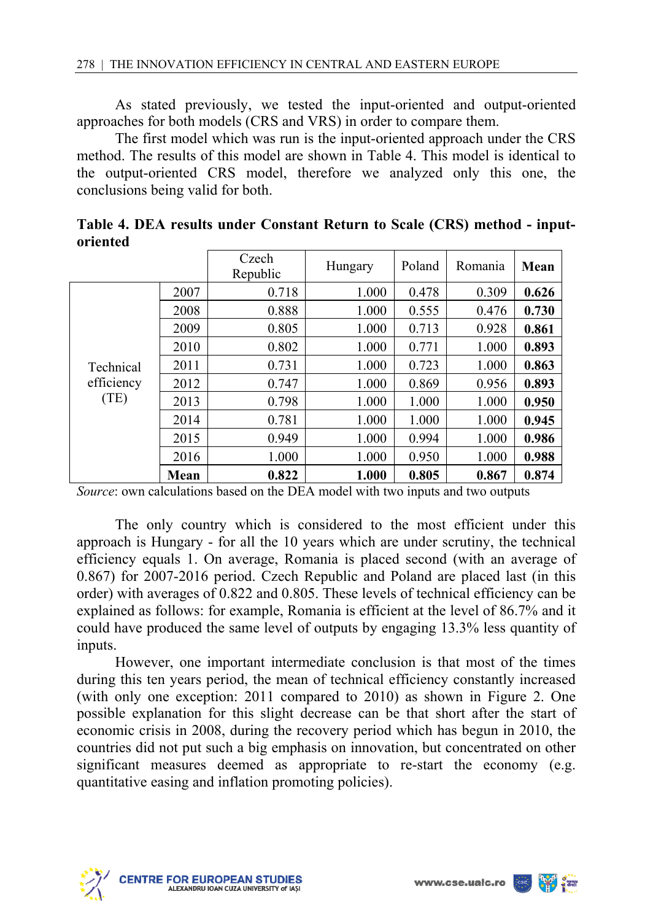As stated previously, we tested the input-oriented and output-oriented approaches for both models (CRS and VRS) in order to compare them.

The first model which was run is the input-oriented approach under the CRS method. The results of this model are shown in Table 4. This model is identical to the output-oriented CRS model, therefore we analyzed only this one, the conclusions being valid for both.

|                                 |      | Czech<br>Republic | Hungary | Poland | Romania | Mean  |
|---------------------------------|------|-------------------|---------|--------|---------|-------|
|                                 | 2007 | 0.718             | 1.000   | 0.478  | 0.309   | 0.626 |
|                                 | 2008 | 0.888             | 1.000   | 0.555  | 0.476   | 0.730 |
|                                 | 2009 | 0.805             | 1.000   | 0.713  | 0.928   | 0.861 |
|                                 | 2010 | 0.802             | 1.000   | 0.771  | 1.000   | 0.893 |
| Technical<br>efficiency<br>(TE) | 2011 | 0.731             | 1.000   | 0.723  | 1.000   | 0.863 |
|                                 | 2012 | 0.747             | 1.000   | 0.869  | 0.956   | 0.893 |
|                                 | 2013 | 0.798             | 1.000   | 1.000  | 1.000   | 0.950 |
|                                 | 2014 | 0.781             | 1.000   | 1.000  | 1.000   | 0.945 |
|                                 | 2015 | 0.949             | 1.000   | 0.994  | 1.000   | 0.986 |
|                                 | 2016 | 1.000             | 1.000   | 0.950  | 1.000   | 0.988 |
|                                 | Mean | 0.822             | 1.000   | 0.805  | 0.867   | 0.874 |

**Table 4. DEA results under Constant Return to Scale (CRS) method - inputoriented** 

*Source*: own calculations based on the DEA model with two inputs and two outputs

The only country which is considered to the most efficient under this approach is Hungary - for all the 10 years which are under scrutiny, the technical efficiency equals 1. On average, Romania is placed second (with an average of 0.867) for 2007-2016 period. Czech Republic and Poland are placed last (in this order) with averages of 0.822 and 0.805. These levels of technical efficiency can be explained as follows: for example, Romania is efficient at the level of 86.7% and it could have produced the same level of outputs by engaging 13.3% less quantity of inputs.

However, one important intermediate conclusion is that most of the times during this ten years period, the mean of technical efficiency constantly increased (with only one exception: 2011 compared to 2010) as shown in Figure 2. One possible explanation for this slight decrease can be that short after the start of economic crisis in 2008, during the recovery period which has begun in 2010, the countries did not put such a big emphasis on innovation, but concentrated on other significant measures deemed as appropriate to re-start the economy (e.g. quantitative easing and inflation promoting policies).



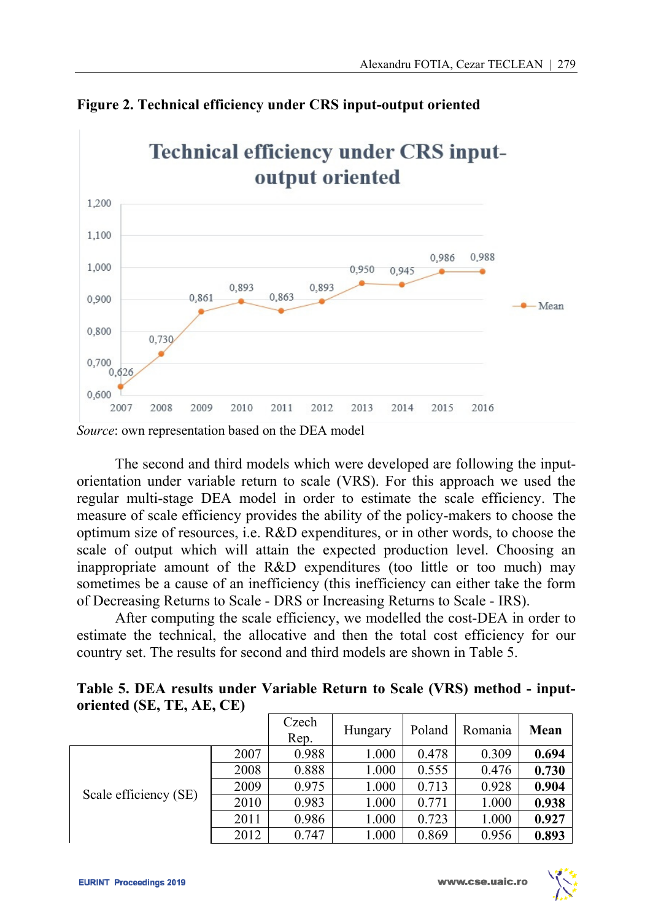

**Figure 2. Technical efficiency under CRS input-output oriented** 

*Source*: own representation based on the DEA model

The second and third models which were developed are following the inputorientation under variable return to scale (VRS). For this approach we used the regular multi-stage DEA model in order to estimate the scale efficiency. The measure of scale efficiency provides the ability of the policy-makers to choose the optimum size of resources, i.e. R&D expenditures, or in other words, to choose the scale of output which will attain the expected production level. Choosing an inappropriate amount of the R&D expenditures (too little or too much) may sometimes be a cause of an inefficiency (this inefficiency can either take the form of Decreasing Returns to Scale - DRS or Increasing Returns to Scale - IRS).

After computing the scale efficiency, we modelled the cost-DEA in order to estimate the technical, the allocative and then the total cost efficiency for our country set. The results for second and third models are shown in Table 5.

| Table 5. DEA results under Variable Return to Scale (VRS) method - input- |  |  |  |
|---------------------------------------------------------------------------|--|--|--|
| oriented (SE, TE, AE, CE)                                                 |  |  |  |

|                       |      | Czech<br>Rep. | Hungary | Poland | Romania | Mean  |
|-----------------------|------|---------------|---------|--------|---------|-------|
| Scale efficiency (SE) | 2007 | 0.988         | 1.000   | 0.478  | 0.309   | 0.694 |
|                       | 2008 | 0.888         | 1.000   | 0.555  | 0.476   | 0.730 |
|                       | 2009 | 0.975         | 1.000   | 0.713  | 0.928   | 0.904 |
|                       | 2010 | 0.983         | 1.000   | 0.771  | 1.000   | 0.938 |
|                       | 2011 | 0.986         | 1.000   | 0.723  | 1.000   | 0.927 |
|                       | 2012 | 0.747         | 1.000   | 0.869  | 0.956   | 0.893 |

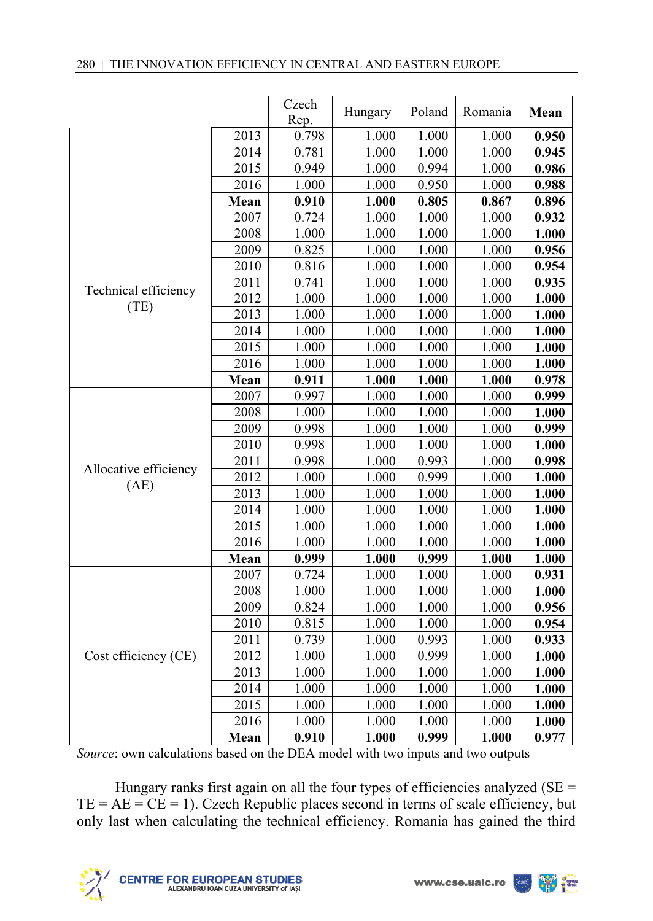|                       |      | Czech<br>Rep. | Hungary | Poland | Romania | Mean  |
|-----------------------|------|---------------|---------|--------|---------|-------|
|                       | 2013 | 0.798         | 1.000   | 1.000  | 1.000   | 0.950 |
|                       | 2014 | 0.781         | 1.000   | 1.000  | 1.000   | 0.945 |
|                       | 2015 | 0.949         | 1.000   | 0.994  | 1.000   | 0.986 |
|                       | 2016 | 1.000         | 1.000   | 0.950  | 1.000   | 0.988 |
|                       | Mean | 0.910         | 1.000   | 0.805  | 0.867   | 0.896 |
|                       | 2007 | 0.724         | 1.000   | 1.000  | 1.000   | 0.932 |
|                       | 2008 | 1.000         | 1.000   | 1.000  | 1.000   | 1.000 |
|                       | 2009 | 0.825         | 1.000   | 1.000  | 1.000   | 0.956 |
|                       | 2010 | 0.816         | 1.000   | 1.000  | 1.000   | 0.954 |
| Technical efficiency  | 2011 | 0.741         | 1.000   | 1.000  | 1.000   | 0.935 |
| (TE)                  | 2012 | 1.000         | 1.000   | 1.000  | 1.000   | 1.000 |
|                       | 2013 | 1.000         | 1.000   | 1.000  | 1.000   | 1.000 |
|                       | 2014 | 1.000         | 1.000   | 1.000  | 1.000   | 1.000 |
|                       | 2015 | 1.000         | 1.000   | 1.000  | 1.000   | 1.000 |
|                       | 2016 | 1.000         | 1.000   | 1.000  | 1.000   | 1.000 |
|                       | Mean | 0.911         | 1.000   | 1.000  | 1.000   | 0.978 |
|                       | 2007 | 0.997         | 1.000   | 1.000  | 1.000   | 0.999 |
|                       | 2008 | 1.000         | 1.000   | 1.000  | 1.000   | 1.000 |
|                       | 2009 | 0.998         | 1.000   | 1.000  | 1.000   | 0.999 |
|                       | 2010 | 0.998         | 1.000   | 1.000  | 1.000   | 1.000 |
|                       | 2011 | 0.998         | 1.000   | 0.993  | 1.000   | 0.998 |
| Allocative efficiency | 2012 | 1.000         | 1.000   | 0.999  | 1.000   | 1.000 |
| (AE)                  | 2013 | 1.000         | 1.000   | 1.000  | 1.000   | 1.000 |
|                       | 2014 | 1.000         | 1.000   | 1.000  | 1.000   | 1.000 |
|                       | 2015 | 1.000         | 1.000   | 1.000  | 1.000   | 1.000 |
|                       | 2016 | 1.000         | 1.000   | 1.000  | 1.000   | 1.000 |
|                       | Mean | 0.999         | 1.000   | 0.999  | 1.000   | 1.000 |
|                       | 2007 | 0.724         | 1.000   | 1.000  | 1.000   | 0.931 |
|                       | 2008 | 1.000         | 1.000   | 1.000  | 1.000   | 1.000 |
|                       | 2009 | 0.824         | 1.000   | 1.000  | 1.000   | 0.956 |
|                       | 2010 | 0.815         | 1.000   | 1.000  | 1.000   | 0.954 |
|                       | 2011 | 0.739         | 1.000   | 0.993  | 1.000   | 0.933 |
| Cost efficiency (CE)  | 2012 | 1.000         | 1.000   | 0.999  | 1.000   | 1.000 |
|                       | 2013 | 1.000         | 1.000   | 1.000  | 1.000   | 1.000 |
|                       | 2014 | 1.000         | 1.000   | 1.000  | 1.000   | 1.000 |
|                       | 2015 | 1.000         | 1.000   | 1.000  | 1.000   | 1.000 |
|                       | 2016 | 1.000         | 1.000   | 1.000  | 1.000   | 1.000 |
|                       | Mean | 0.910         | 1.000   | 0.999  | 1.000   | 0.977 |

*Source*: own calculations based on the DEA model with two inputs and two outputs

Hungary ranks first again on all the four types of efficiencies analyzed (SE =  $TE = AE = CE = 1$ . Czech Republic places second in terms of scale efficiency, but only last when calculating the technical efficiency. Romania has gained the third



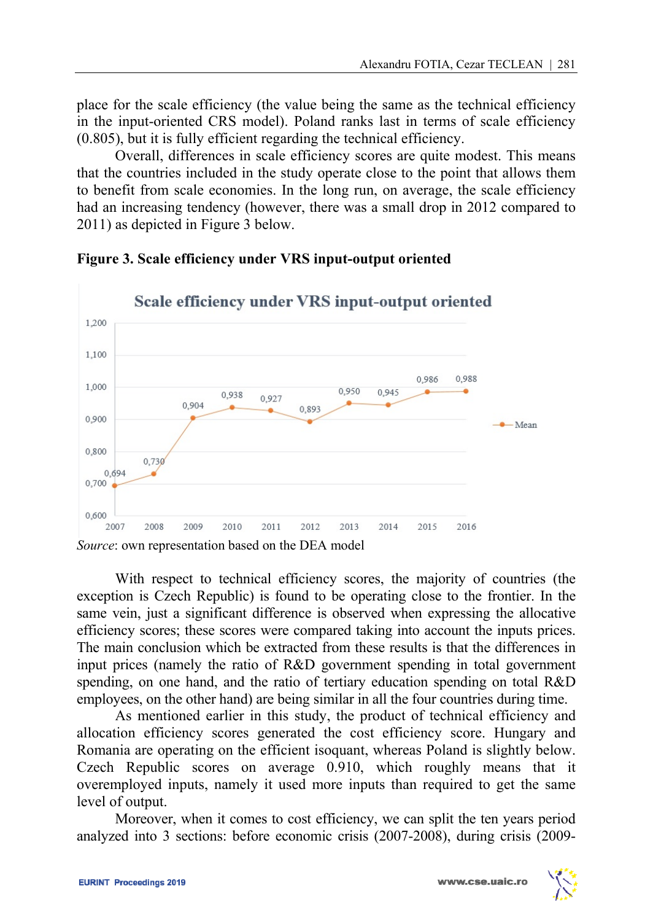place for the scale efficiency (the value being the same as the technical efficiency in the input-oriented CRS model). Poland ranks last in terms of scale efficiency (0.805), but it is fully efficient regarding the technical efficiency.

Overall, differences in scale efficiency scores are quite modest. This means that the countries included in the study operate close to the point that allows them to benefit from scale economies. In the long run, on average, the scale efficiency had an increasing tendency (however, there was a small drop in 2012 compared to 2011) as depicted in Figure 3 below.



**Figure 3. Scale efficiency under VRS input-output oriented** 

With respect to technical efficiency scores, the majority of countries (the exception is Czech Republic) is found to be operating close to the frontier. In the same vein, just a significant difference is observed when expressing the allocative efficiency scores; these scores were compared taking into account the inputs prices. The main conclusion which be extracted from these results is that the differences in input prices (namely the ratio of R&D government spending in total government spending, on one hand, and the ratio of tertiary education spending on total R&D employees, on the other hand) are being similar in all the four countries during time.

As mentioned earlier in this study, the product of technical efficiency and allocation efficiency scores generated the cost efficiency score. Hungary and Romania are operating on the efficient isoquant, whereas Poland is slightly below. Czech Republic scores on average 0.910, which roughly means that it overemployed inputs, namely it used more inputs than required to get the same level of output.

Moreover, when it comes to cost efficiency, we can split the ten years period analyzed into 3 sections: before economic crisis (2007-2008), during crisis (2009-

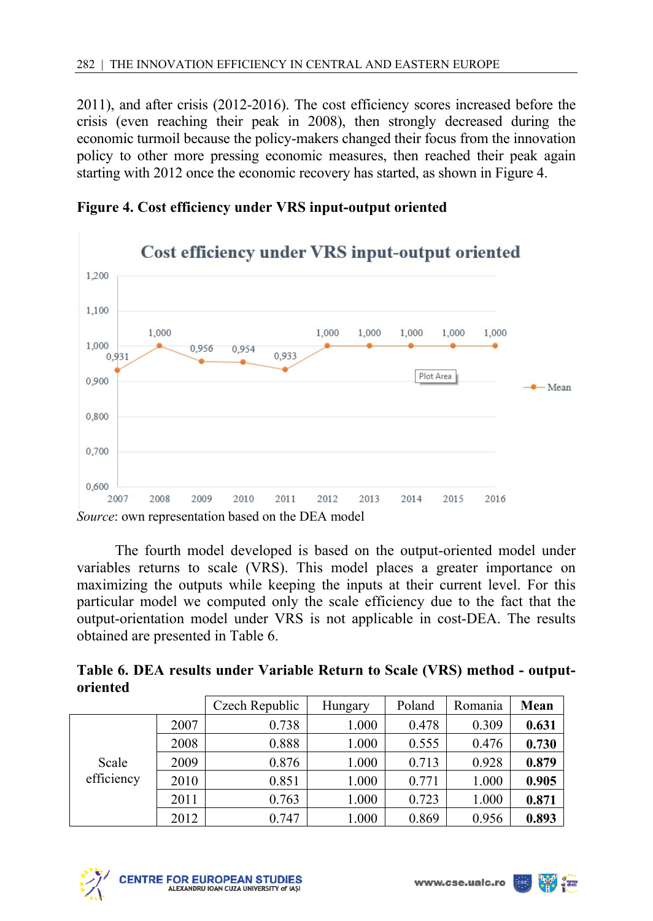2011), and after crisis (2012-2016). The cost efficiency scores increased before the crisis (even reaching their peak in 2008), then strongly decreased during the economic turmoil because the policy-makers changed their focus from the innovation policy to other more pressing economic measures, then reached their peak again starting with 2012 once the economic recovery has started, as shown in Figure 4.



**Figure 4. Cost efficiency under VRS input-output oriented** 

The fourth model developed is based on the output-oriented model under variables returns to scale (VRS). This model places a greater importance on maximizing the outputs while keeping the inputs at their current level. For this particular model we computed only the scale efficiency due to the fact that the output-orientation model under VRS is not applicable in cost-DEA. The results obtained are presented in Table 6.

| Table 6. DEA results under Variable Return to Scale (VRS) method - output- |  |  |  |  |
|----------------------------------------------------------------------------|--|--|--|--|
| oriented                                                                   |  |  |  |  |

|                     |      | Czech Republic | Hungary | Poland | Romania | Mean  |
|---------------------|------|----------------|---------|--------|---------|-------|
|                     | 2007 | 0.738          | 1.000   | 0.478  | 0.309   | 0.631 |
|                     | 2008 | 0.888          | 1.000   | 0.555  | 0.476   | 0.730 |
| Scale<br>efficiency | 2009 | 0.876          | 1.000   | 0.713  | 0.928   | 0.879 |
|                     | 2010 | 0.851          | 1.000   | 0.771  | 1.000   | 0.905 |
|                     | 2011 | 0.763          | 1.000   | 0.723  | 1.000   | 0.871 |
|                     | 2012 | 0.747          | 1.000   | 0.869  | 0.956   | 0.893 |



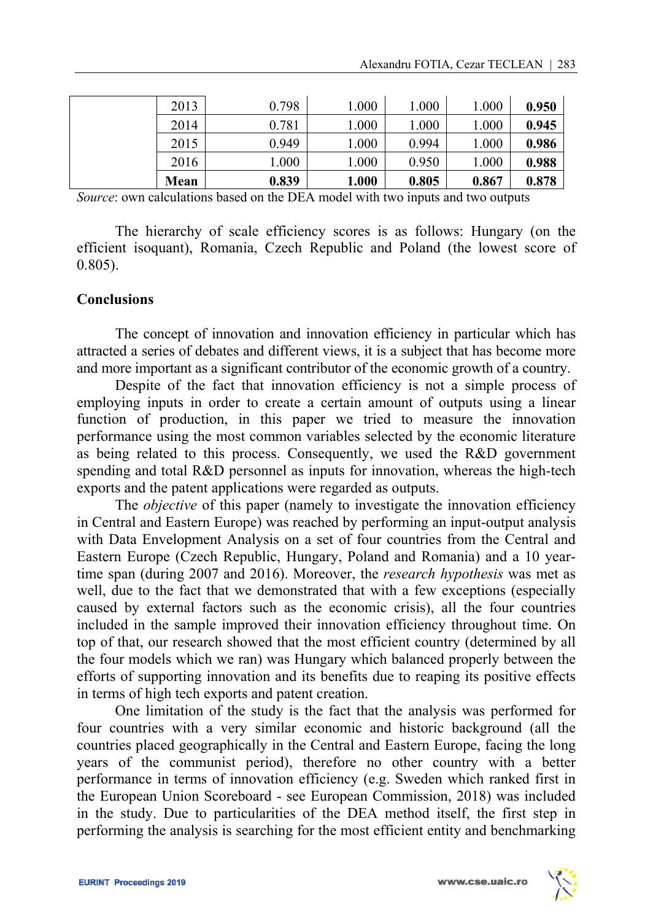| 2013 | 0.798 | 1.000 | 1.000 | 1.000 | 0.950 |
|------|-------|-------|-------|-------|-------|
| 2014 | 0.781 | 1.000 | 1.000 | 1.000 | 0.945 |
| 2015 | 0.949 | 1.000 | 0.994 | 1.000 | 0.986 |
| 2016 | 1.000 | 1.000 | 0.950 | 1.000 | 0.988 |
| Mean | 0.839 | 1.000 | 0.805 | 0.867 | 0.878 |

*Source*: own calculations based on the DEA model with two inputs and two outputs

The hierarchy of scale efficiency scores is as follows: Hungary (on the efficient isoquant), Romania, Czech Republic and Poland (the lowest score of 0.805).

#### **Conclusions**

The concept of innovation and innovation efficiency in particular which has attracted a series of debates and different views, it is a subject that has become more and more important as a significant contributor of the economic growth of a country.

Despite of the fact that innovation efficiency is not a simple process of employing inputs in order to create a certain amount of outputs using a linear function of production, in this paper we tried to measure the innovation performance using the most common variables selected by the economic literature as being related to this process. Consequently, we used the R&D government spending and total R&D personnel as inputs for innovation, whereas the high-tech exports and the patent applications were regarded as outputs.

The *objective* of this paper (namely to investigate the innovation efficiency in Central and Eastern Europe) was reached by performing an input-output analysis with Data Envelopment Analysis on a set of four countries from the Central and Eastern Europe (Czech Republic, Hungary, Poland and Romania) and a 10 yeartime span (during 2007 and 2016). Moreover, the *research hypothesis* was met as well, due to the fact that we demonstrated that with a few exceptions (especially caused by external factors such as the economic crisis), all the four countries included in the sample improved their innovation efficiency throughout time. On top of that, our research showed that the most efficient country (determined by all the four models which we ran) was Hungary which balanced properly between the efforts of supporting innovation and its benefits due to reaping its positive effects in terms of high tech exports and patent creation.

One limitation of the study is the fact that the analysis was performed for four countries with a very similar economic and historic background (all the countries placed geographically in the Central and Eastern Europe, facing the long years of the communist period), therefore no other country with a better performance in terms of innovation efficiency (e.g. Sweden which ranked first in the European Union Scoreboard - see European Commission, 2018) was included in the study. Due to particularities of the DEA method itself, the first step in performing the analysis is searching for the most efficient entity and benchmarking

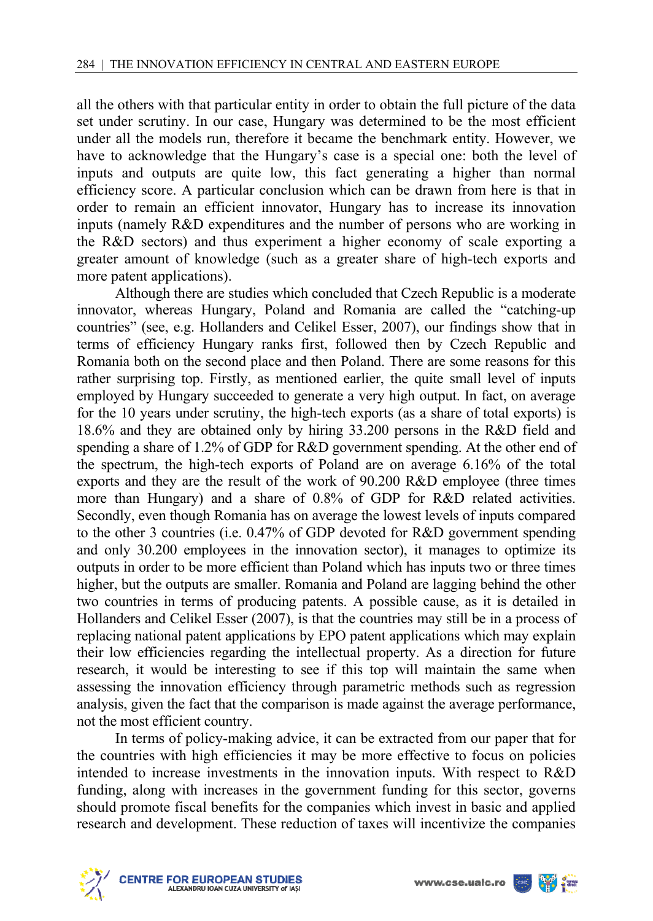all the others with that particular entity in order to obtain the full picture of the data set under scrutiny. In our case, Hungary was determined to be the most efficient under all the models run, therefore it became the benchmark entity. However, we have to acknowledge that the Hungary's case is a special one: both the level of inputs and outputs are quite low, this fact generating a higher than normal efficiency score. A particular conclusion which can be drawn from here is that in order to remain an efficient innovator, Hungary has to increase its innovation inputs (namely R&D expenditures and the number of persons who are working in the R&D sectors) and thus experiment a higher economy of scale exporting a greater amount of knowledge (such as a greater share of high-tech exports and more patent applications).

Although there are studies which concluded that Czech Republic is a moderate innovator, whereas Hungary, Poland and Romania are called the "catching-up countries" (see, e.g. Hollanders and Celikel Esser, 2007), our findings show that in terms of efficiency Hungary ranks first, followed then by Czech Republic and Romania both on the second place and then Poland. There are some reasons for this rather surprising top. Firstly, as mentioned earlier, the quite small level of inputs employed by Hungary succeeded to generate a very high output. In fact, on average for the 10 years under scrutiny, the high-tech exports (as a share of total exports) is 18.6% and they are obtained only by hiring 33.200 persons in the R&D field and spending a share of 1.2% of GDP for R&D government spending. At the other end of the spectrum, the high-tech exports of Poland are on average 6.16% of the total exports and they are the result of the work of 90.200 R&D employee (three times more than Hungary) and a share of 0.8% of GDP for R&D related activities. Secondly, even though Romania has on average the lowest levels of inputs compared to the other 3 countries (i.e. 0.47% of GDP devoted for R&D government spending and only 30.200 employees in the innovation sector), it manages to optimize its outputs in order to be more efficient than Poland which has inputs two or three times higher, but the outputs are smaller. Romania and Poland are lagging behind the other two countries in terms of producing patents. A possible cause, as it is detailed in Hollanders and Celikel Esser (2007), is that the countries may still be in a process of replacing national patent applications by EPO patent applications which may explain their low efficiencies regarding the intellectual property. As a direction for future research, it would be interesting to see if this top will maintain the same when assessing the innovation efficiency through parametric methods such as regression analysis, given the fact that the comparison is made against the average performance, not the most efficient country.

In terms of policy-making advice, it can be extracted from our paper that for the countries with high efficiencies it may be more effective to focus on policies intended to increase investments in the innovation inputs. With respect to R&D funding, along with increases in the government funding for this sector, governs should promote fiscal benefits for the companies which invest in basic and applied research and development. These reduction of taxes will incentivize the companies



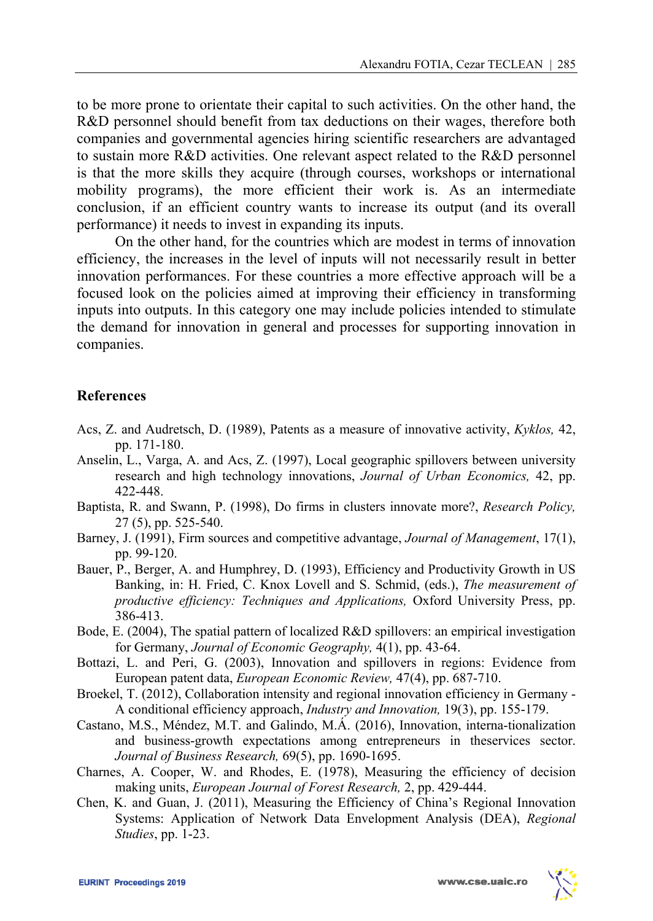to be more prone to orientate their capital to such activities. On the other hand, the R&D personnel should benefit from tax deductions on their wages, therefore both companies and governmental agencies hiring scientific researchers are advantaged to sustain more R&D activities. One relevant aspect related to the R&D personnel is that the more skills they acquire (through courses, workshops or international mobility programs), the more efficient their work is. As an intermediate conclusion, if an efficient country wants to increase its output (and its overall performance) it needs to invest in expanding its inputs.

On the other hand, for the countries which are modest in terms of innovation efficiency, the increases in the level of inputs will not necessarily result in better innovation performances. For these countries a more effective approach will be a focused look on the policies aimed at improving their efficiency in transforming inputs into outputs. In this category one may include policies intended to stimulate the demand for innovation in general and processes for supporting innovation in companies.

### **References**

- Acs, Z. and Audretsch, D. (1989), Patents as a measure of innovative activity, *Kyklos,* 42, pp. 171-180.
- Anselin, L., Varga, A. and Acs, Z. (1997), Local geographic spillovers between university research and high technology innovations, *Journal of Urban Economics,* 42, pp. 422-448.
- Baptista, R. and Swann, P. (1998), Do firms in clusters innovate more?, *Research Policy,*  27 (5), pp. 525-540.
- Barney, J. (1991), Firm sources and competitive advantage, *Journal of Management*, 17(1), pp. 99-120.
- Bauer, P., Berger, A. and Humphrey, D. (1993), Efficiency and Productivity Growth in US Banking, in: H. Fried, C. Knox Lovell and S. Schmid, (eds.), *The measurement of productive efficiency: Techniques and Applications,* Oxford University Press, pp. 386-413.
- Bode, E. (2004), The spatial pattern of localized R&D spillovers: an empirical investigation for Germany, *Journal of Economic Geography,* 4(1), pp. 43-64.
- Bottazi, L. and Peri, G. (2003), Innovation and spillovers in regions: Evidence from European patent data, *European Economic Review,* 47(4), pp. 687-710.
- Broekel, T. (2012), Collaboration intensity and regional innovation efficiency in Germany A conditional efficiency approach, *Industry and Innovation,* 19(3), pp. 155-179.
- Castano, M.S., Méndez, M.T. and Galindo, M.Á. (2016), Innovation, interna-tionalization and business-growth expectations among entrepreneurs in theservices sector. *Journal of Business Research,* 69(5), pp. 1690-1695.
- Charnes, A. Cooper, W. and Rhodes, E. (1978), Measuring the efficiency of decision making units, *European Journal of Forest Research,* 2, pp. 429-444.
- Chen, K. and Guan, J. (2011), Measuring the Efficiency of China's Regional Innovation Systems: Application of Network Data Envelopment Analysis (DEA), *Regional Studies*, pp. 1-23.

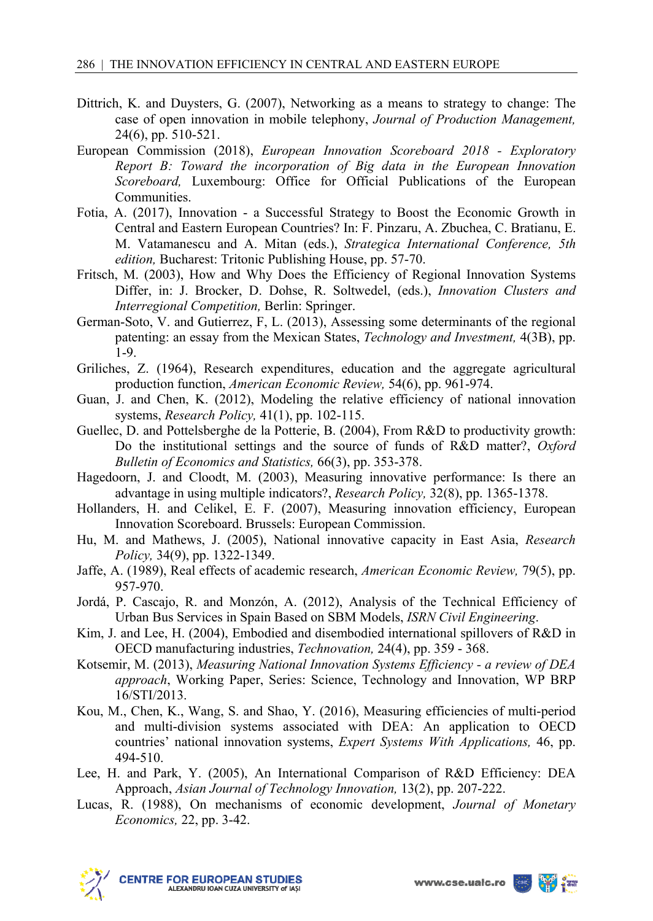- Dittrich, K. and Duysters, G. (2007), Networking as a means to strategy to change: The case of open innovation in mobile telephony, *Journal of Production Management,*  24(6), pp. 510-521.
- European Commission (2018), *European Innovation Scoreboard 2018 Exploratory Report B: Toward the incorporation of Big data in the European Innovation Scoreboard,* Luxembourg: Office for Official Publications of the European Communities.
- Fotia, A. (2017), Innovation a Successful Strategy to Boost the Economic Growth in Central and Eastern European Countries? In: F. Pinzaru, A. Zbuchea, C. Bratianu, E. M. Vatamanescu and A. Mitan (eds.), *Strategica International Conference, 5th edition,* Bucharest: Tritonic Publishing House, pp. 57-70.
- Fritsch, M. (2003), How and Why Does the Efficiency of Regional Innovation Systems Differ, in: J. Brocker, D. Dohse, R. Soltwedel, (eds.), *Innovation Clusters and Interregional Competition,* Berlin: Springer.
- German-Soto, V. and Gutierrez, F, L. (2013), Assessing some determinants of the regional patenting: an essay from the Mexican States, *Technology and Investment,* 4(3B), pp. 1-9.
- Griliches, Z. (1964), Research expenditures, education and the aggregate agricultural production function, *American Economic Review,* 54(6), pp. 961-974.
- Guan, J. and Chen, K. (2012), Modeling the relative efficiency of national innovation systems, *Research Policy,* 41(1), pp. 102-115.
- Guellec, D. and Pottelsberghe de la Potterie, B. (2004), From R&D to productivity growth: Do the institutional settings and the source of funds of R&D matter?, *Oxford Bulletin of Economics and Statistics,* 66(3), pp. 353-378.
- Hagedoorn, J. and Cloodt, M. (2003), Measuring innovative performance: Is there an advantage in using multiple indicators?, *Research Policy,* 32(8), pp. 1365-1378.
- Hollanders, H. and Celikel, E. F. (2007), Measuring innovation efficiency, European Innovation Scoreboard. Brussels: European Commission.
- Hu, M. and Mathews, J. (2005), National innovative capacity in East Asia, *Research Policy,* 34(9), pp. 1322-1349.
- Jaffe, A. (1989), Real effects of academic research, *American Economic Review,* 79(5), pp. 957-970.
- Jordá, P. Cascajo, R. and Monzón, A. (2012), Analysis of the Technical Efficiency of Urban Bus Services in Spain Based on SBM Models, *ISRN Civil Engineering*.
- Kim, J. and Lee, H. (2004), Embodied and disembodied international spillovers of R&D in OECD manufacturing industries, *Technovation,* 24(4), pp. 359 - 368.
- Kotsemir, M. (2013), *Measuring National Innovation Systems Efficiency a review of DEA approach*, Working Paper, Series: Science, Technology and Innovation, WP BRP 16/STI/2013.
- Kou, M., Chen, K., Wang, S. and Shao, Y. (2016), Measuring efficiencies of multi-period and multi-division systems associated with DEA: An application to OECD countries' national innovation systems, *Expert Systems With Applications,* 46, pp. 494-510.
- Lee, H. and Park, Y. (2005), An International Comparison of R&D Efficiency: DEA Approach, *Asian Journal of Technology Innovation,* 13(2), pp. 207-222.
- Lucas, R. (1988), On mechanisms of economic development, *Journal of Monetary Economics,* 22, pp. 3-42.